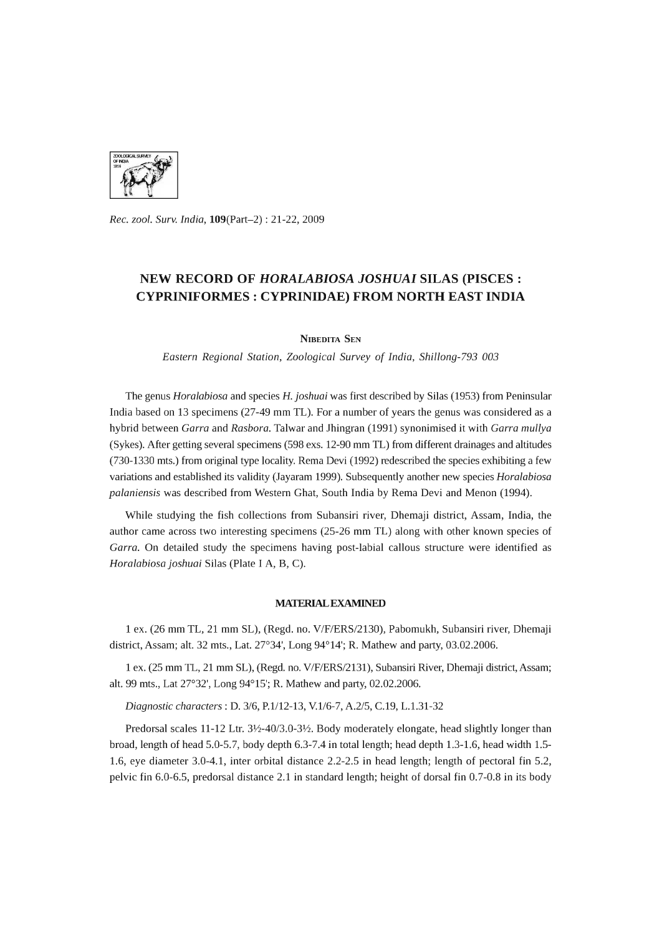

*Rec. zool. Surv. India,* 109(Part-2) : 21-22, 2009

## **NEW RECORD OF** *HORALABIOSA JOSHUAI* **SILAS (PISCES: CYPRINIFORMES : CYPRINIDAE) FROM NORTH EAST INDIA**

NIBEDITA SEN

*Eastern Regional Station, Zoological Survey* of *India, Shillong-793 003* 

The genus *Horalabiosa* and species H. *joshuai* was first described by Silas (1953) from Peninsular India based on 13 specimens (27-49 mm TL). For a number of years the genus was considered as a hybrid between *Garra* and *Rasbora.* Talwar and Jhingran (1991) synonimised it with *Garra mullya*  (Sykes). After getting several specimens (598 exs. 12-90 mm TL) from different drainages and altitudes (730-1330 mts.) from original type locality. Rema Devi (1992) redescribed the species exhibiting a few variations and established its validity (Jayaram 1999). Subsequently another new species *Horalabiosa palaniensis* was described from Western Ghat, South India by Rema Devi and Menon (1994).

While studying the fish collections from Subansiri river, Dhemaji district, Assam, India, the author came across two interesting specimens (25-26 mm TL) along with other known species of *Garra.* On detailed study the specimens having post-labial callous structure were identified as *Horalabiosa joshuai* Silas (Plate I A, B, C).

## MATERIAL EXAMINED

1 ex. (26 mm TL, 21 mm SL), (Regd. no. V/F/ERS/2130), Pabomukh, Subansiri river, Dhemaji district, Assam; alt. 32 mts., Lat. 27°34', Long 94°14'; R. Mathew and party, 03.02.2006.

1 ex. (25 mm TL, 21 mm SL), (Regd. no. V/F/ERS/2131), Subansiri River, Dhemaji district, Assam; alt. 99 mts., Lat 27°32', Long 94°15'; R. Mathew and party, 02.02.2006.

*Diagnostic characters:* D. *3/6,* P.1I12-13, V.1I6-7, *A.2/5,* C.19, L.1.31-32

Predorsal scales 11-12 Ltr. 3½-40/3.0-3½. Body moderately elongate, head slightly longer than broad, length of head 5.0-5.7, body depth 6.3-7.4 in total length; head depth 1.3-1.6, head width 1.5- 1.6, eye diameter 3.0-4.1, inter orbital distance 2.2-2.5 in head length; length of pectoral fin 5.2, pelvic fin 6.0-6.5, predorsal distance 2.1 in standard length; height of dorsal fin 0.7-0.8 in its body